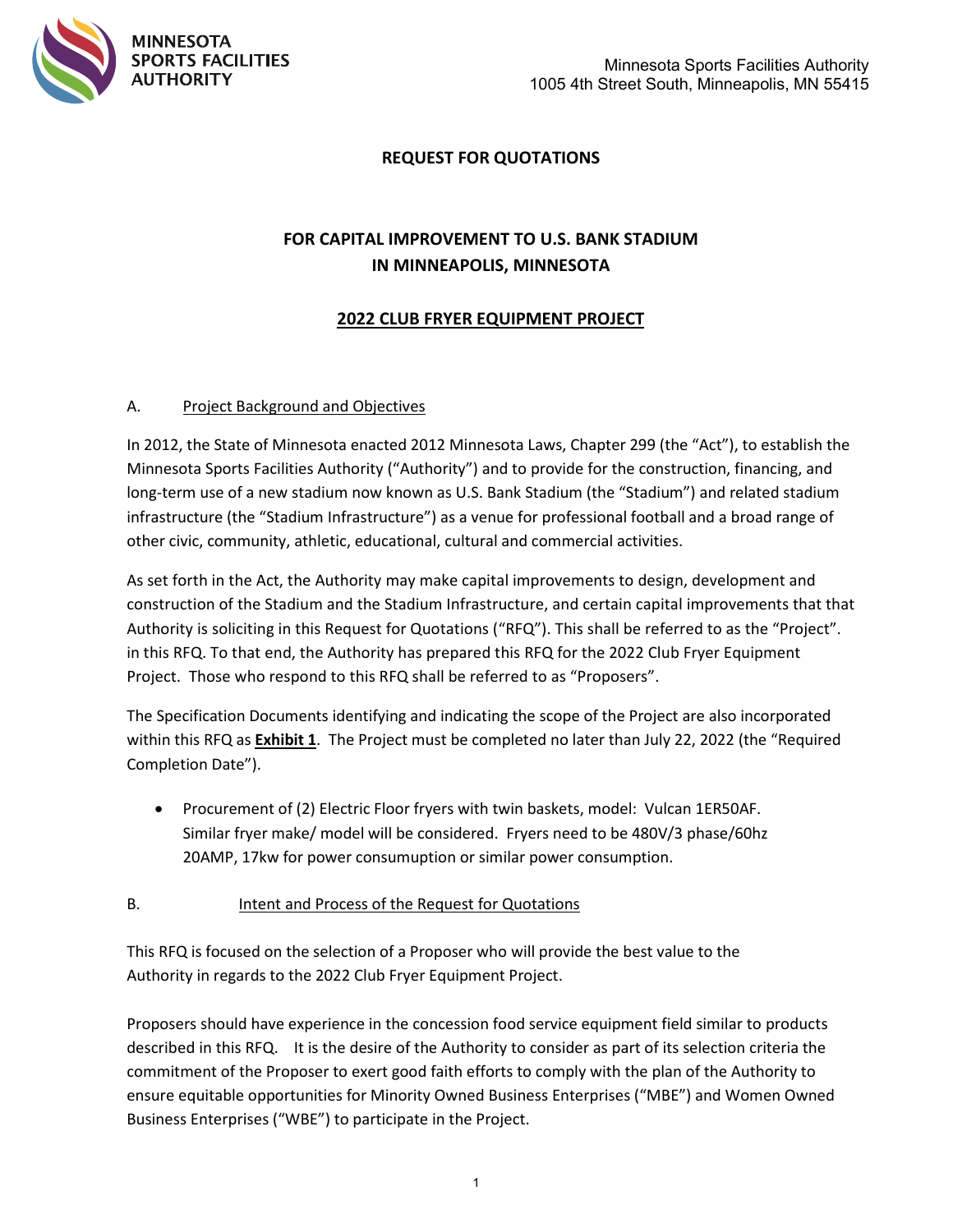

# **REQUEST FOR QUOTATIONS**

# **FOR CAPITAL IMPROVEMENT TO U.S. BANK STADIUM IN MINNEAPOLIS, MINNESOTA**

## **2022 CLUB FRYER EQUIPMENT PROJECT**

#### A. Project Background and Objectives

In 2012, the State of Minnesota enacted 2012 Minnesota Laws, Chapter 299 (the "Act"), to establish the Minnesota Sports Facilities Authority ("Authority") and to provide for the construction, financing, and long-term use of a new stadium now known as U.S. Bank Stadium (the "Stadium") and related stadium infrastructure (the "Stadium Infrastructure") as a venue for professional football and a broad range of other civic, community, athletic, educational, cultural and commercial activities.

As set forth in the Act, the Authority may make capital improvements to design, development and construction of the Stadium and the Stadium Infrastructure, and certain capital improvements that that Authority is soliciting in this Request for Quotations ("RFQ"). This shall be referred to as the "Project". in this RFQ. To that end, the Authority has prepared this RFQ for the 2022 Club Fryer Equipment Project. Those who respond to this RFQ shall be referred to as "Proposers".

The Specification Documents identifying and indicating the scope of the Project are also incorporated within this RFQ as **Exhibit 1**. The Project must be completed no later than July 22, 2022 (the "Required Completion Date").

• Procurement of (2) Electric Floor fryers with twin baskets, model: Vulcan 1ER50AF. Similar fryer make/ model will be considered. Fryers need to be 480V/3 phase/60hz 20AMP, 17kw for power consumuption or similar power consumption.

#### B. Intent and Process of the Request for Quotations

This RFQ is focused on the selection of a Proposer who will provide the best value to the Authority in regards to the 2022 Club Fryer Equipment Project.

Proposers should have experience in the concession food service equipment field similar to products described in this RFQ. It is the desire of the Authority to consider as part of its selection criteria the commitment of the Proposer to exert good faith efforts to comply with the plan of the Authority to ensure equitable opportunities for Minority Owned Business Enterprises ("MBE") and Women Owned Business Enterprises ("WBE") to participate in the Project.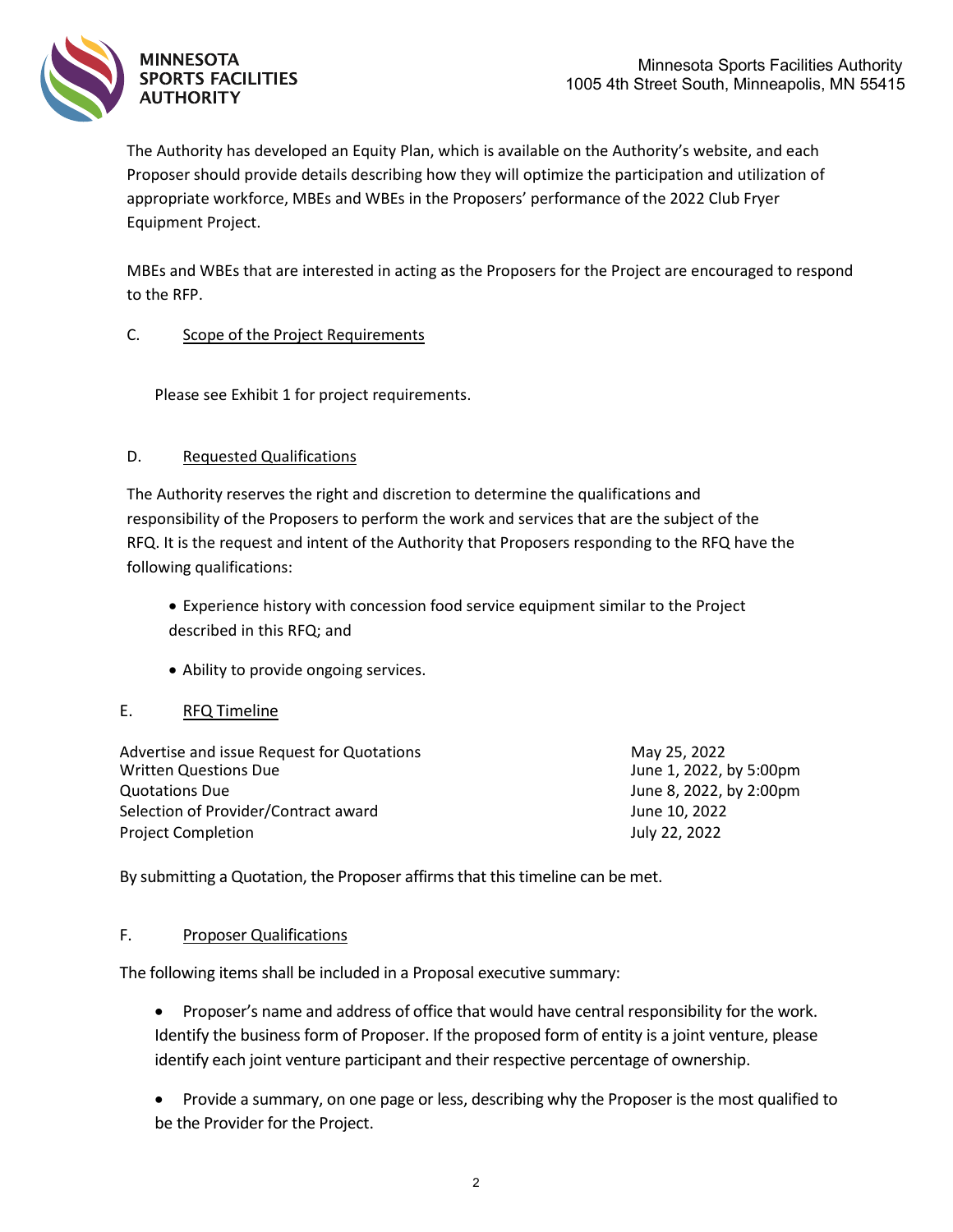The Authority has developed an Equity Plan, which is available on the Authority's website, and each Proposer should provide details describing how they will optimize the participation and utilization of appropriate workforce, MBEs and WBEs in the Proposers' performance of the 2022 Club Fryer Equipment Project.

MBEs and WBEs that are interested in acting as the Proposers for the Project are encouraged to respond to the RFP.

### C. Scope of the Project Requirements

Please see Exhibit 1 for project requirements.

### D. Requested Qualifications

The Authority reserves the right and discretion to determine the qualifications and responsibility of the Proposers to perform the work and services that are the subject of the RFQ. It is the request and intent of the Authority that Proposers responding to the RFQ have the following qualifications:

- Experience history with concession food service equipment similar to the Project described in this RFQ; and
- Ability to provide ongoing services.

### E. RFQ Timeline

| Advertise and issue Request for Quotations<br><b>Written Questions Due</b> | May 25, 2022<br>June 1, 2022, by 5:00pm |
|----------------------------------------------------------------------------|-----------------------------------------|
| Quotations Due                                                             | June 8, 2022, by 2:00pm                 |
| Selection of Provider/Contract award                                       | June 10, 2022                           |
| <b>Project Completion</b>                                                  | July 22, 2022                           |

By submitting a Quotation, the Proposer affirms that this timeline can be met.

### F. Proposer Qualifications

The following items shall be included in a Proposal executive summary:

- Proposer's name and address of office that would have central responsibility for the work. Identify the business form of Proposer. If the proposed form of entity is a joint venture, please identify each joint venture participant and their respective percentage of ownership.
- Provide a summary, on one page or less, describing why the Proposer is the most qualified to be the Provider for the Project.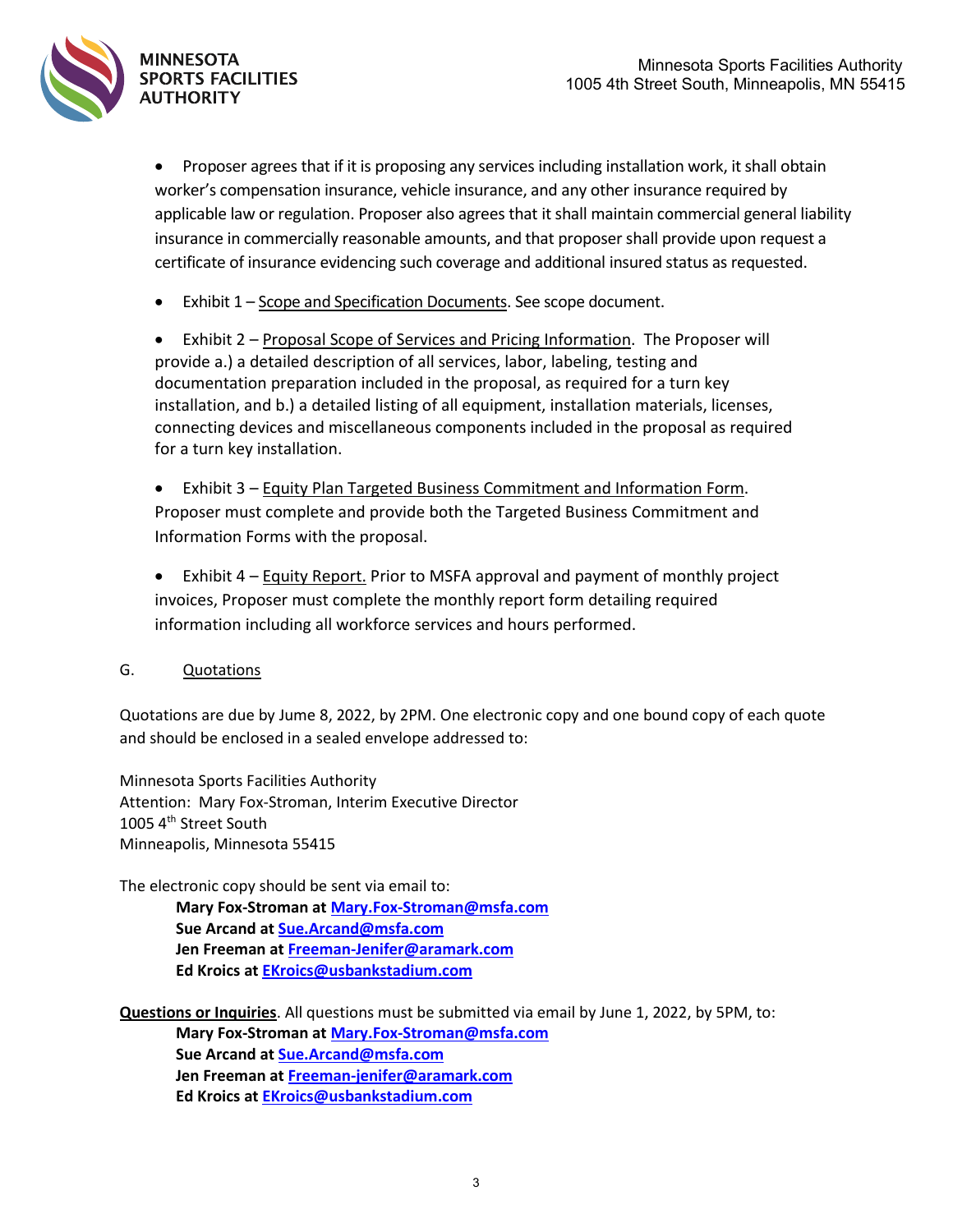

• Proposer agrees that if it is proposing any services including installation work, it shall obtain worker's compensation insurance, vehicle insurance, and any other insurance required by applicable law or regulation. Proposer also agrees that it shall maintain commercial general liability insurance in commercially reasonable amounts, and that proposer shall provide upon request a certificate of insurance evidencing such coverage and additional insured status as requested.

• Exhibit 1 – Scope and Specification Documents. See scope document.

• Exhibit 2 – Proposal Scope of Services and Pricing Information. The Proposer will provide a.) a detailed description of all services, labor, labeling, testing and documentation preparation included in the proposal, as required for a turn key installation, and b.) a detailed listing of all equipment, installation materials, licenses, connecting devices and miscellaneous components included in the proposal as required for a turn key installation.

• Exhibit 3 – Equity Plan Targeted Business Commitment and Information Form. Proposer must complete and provide both the Targeted Business Commitment and Information Forms with the proposal.

• Exhibit 4 – Equity Report. Prior to MSFA approval and payment of monthly project invoices, Proposer must complete the monthly report form detailing required information including all workforce services and hours performed.

### G. Quotations

Quotations are due by Jume 8, 2022, by 2PM. One electronic copy and one bound copy of each quote and should be enclosed in a sealed envelope addressed to:

Minnesota Sports Facilities Authority Attention: Mary Fox-Stroman, Interim Executive Director 1005 4<sup>th</sup> Street South Minneapolis, Minnesota 55415

The electronic copy should be sent via email to:

**Mary Fox-Stroman at [Mary.Fox-Stroman@msfa.com](mailto:Mary.Fox-Stroman@msfa.com) Sue Arcand at [Sue.Arcand@msfa.com](mailto:Sue.Arcand@msfa.com) Jen Freeman at [Freeman-Jenifer@aramark.com](mailto:Freeman-Jenifer@aramark.com) Ed Kroics a[t EKroics@usbankstadium.com](mailto:EKroics@usbankstadium.com)**

**Questions or Inquiries**. All questions must be submitted via email by June 1, 2022, by 5PM, to:

**Mary Fox-Stroman at [Mary.Fox-Stroman@msfa.com](mailto:Mary.Fox-Stroman@msfa.com) Sue Arcand at [Sue.Arcand@msfa.com](mailto:Sue.Arcand@msfa.com) Jen Freeman at [Freeman-jenifer@aramark.com](mailto:Freeman-jenifer@aramark.com) Ed Kroics a[t EKroics@usbankstadium.com](mailto:EKroics@usbankstadium.com)**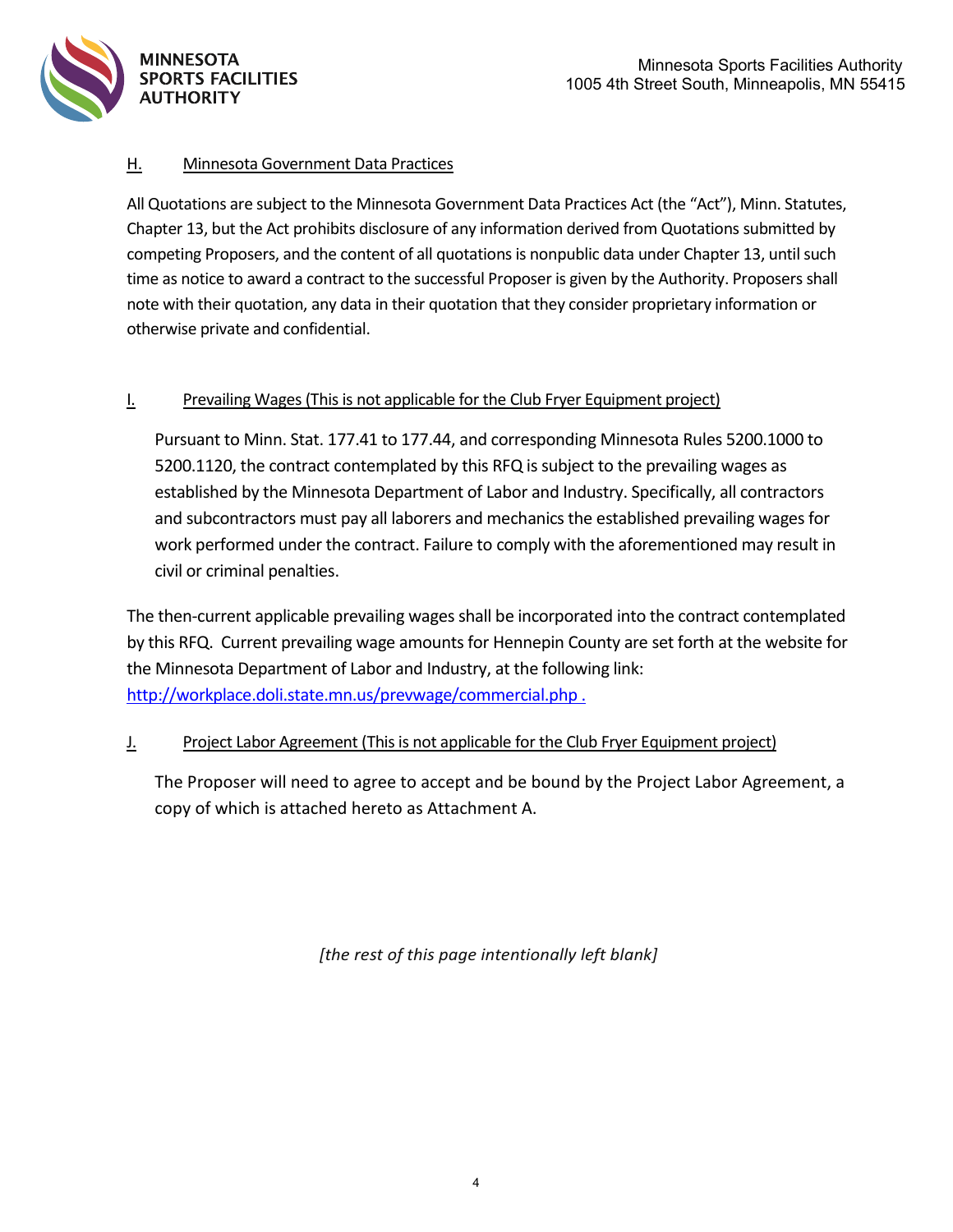

## H. Minnesota Government Data Practices

All Quotations are subject to the Minnesota Government Data Practices Act (the "Act"), Minn. Statutes, Chapter 13, but the Act prohibits disclosure of any information derived from Quotations submitted by competing Proposers, and the content of all quotations is nonpublic data under Chapter 13, until such time as notice to award a contract to the successful Proposer is given by the Authority. Proposers shall note with their quotation, any data in their quotation that they consider proprietary information or otherwise private and confidential.

### I. Prevailing Wages(This is not applicable for the Club Fryer Equipment project)

Pursuant to Minn. Stat. 177.41 to 177.44, and corresponding Minnesota Rules 5200.1000 to 5200.1120, the contract contemplated by this RFQ is subject to the prevailing wages as established by the Minnesota Department of Labor and Industry. Specifically, all contractors and subcontractors must pay all laborers and mechanics the established prevailing wages for work performed under the contract. Failure to comply with the aforementioned may result in civil or criminal penalties.

The then-current applicable prevailing wages shall be incorporated into the contract contemplated by this RFQ. Current prevailing wage amounts for Hennepin County are set forth at the website for the Minnesota Department of Labor and Industry, at the following link: [http://workplace.doli.state.mn.us/prevwage/commercial.php .](http://workplace.doli.state.mn.us/prevwage/commercial.php)

### J. Project Labor Agreement (This is not applicable for the Club Fryer Equipment project)

The Proposer will need to agree to accept and be bound by the Project Labor Agreement, a copy of which is attached hereto as Attachment A.

*[the rest of this page intentionally left blank]*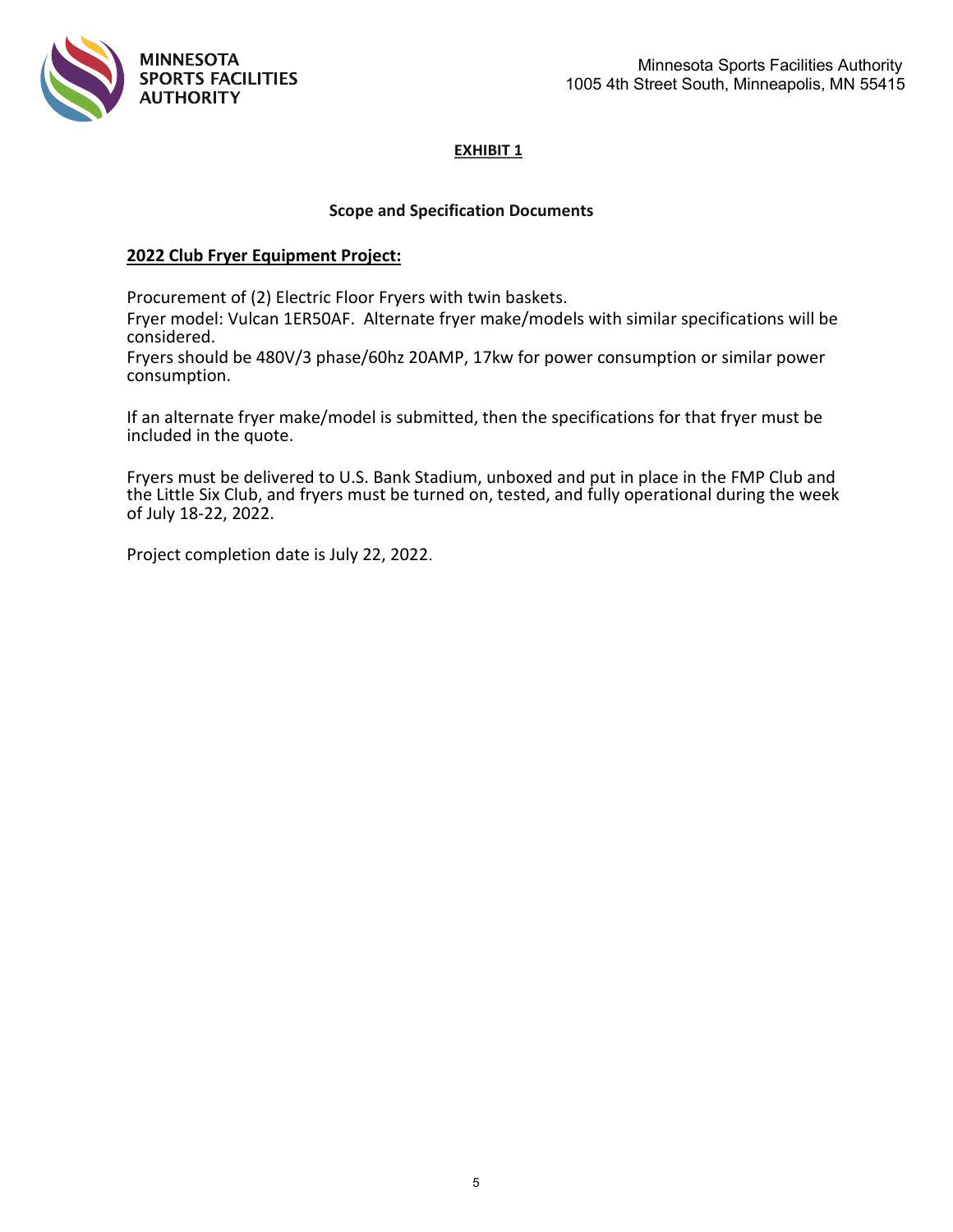

#### **Scope and Specification Documents**

#### **2022 Club Fryer Equipment Project:**

Procurement of (2) Electric Floor Fryers with twin baskets.

Fryer model: Vulcan 1ER50AF. Alternate fryer make/models with similar specifications will be considered.

Fryers should be 480V/3 phase/60hz 20AMP, 17kw for power consumption or similar power consumption.

If an alternate fryer make/model is submitted, then the specifications for that fryer must be included in the quote.

Fryers must be delivered to U.S. Bank Stadium, unboxed and put in place in the FMP Club and the Little Six Club, and fryers must be turned on, tested, and fully operational during the week of July 18-22, 2022.

Project completion date is July 22, 2022.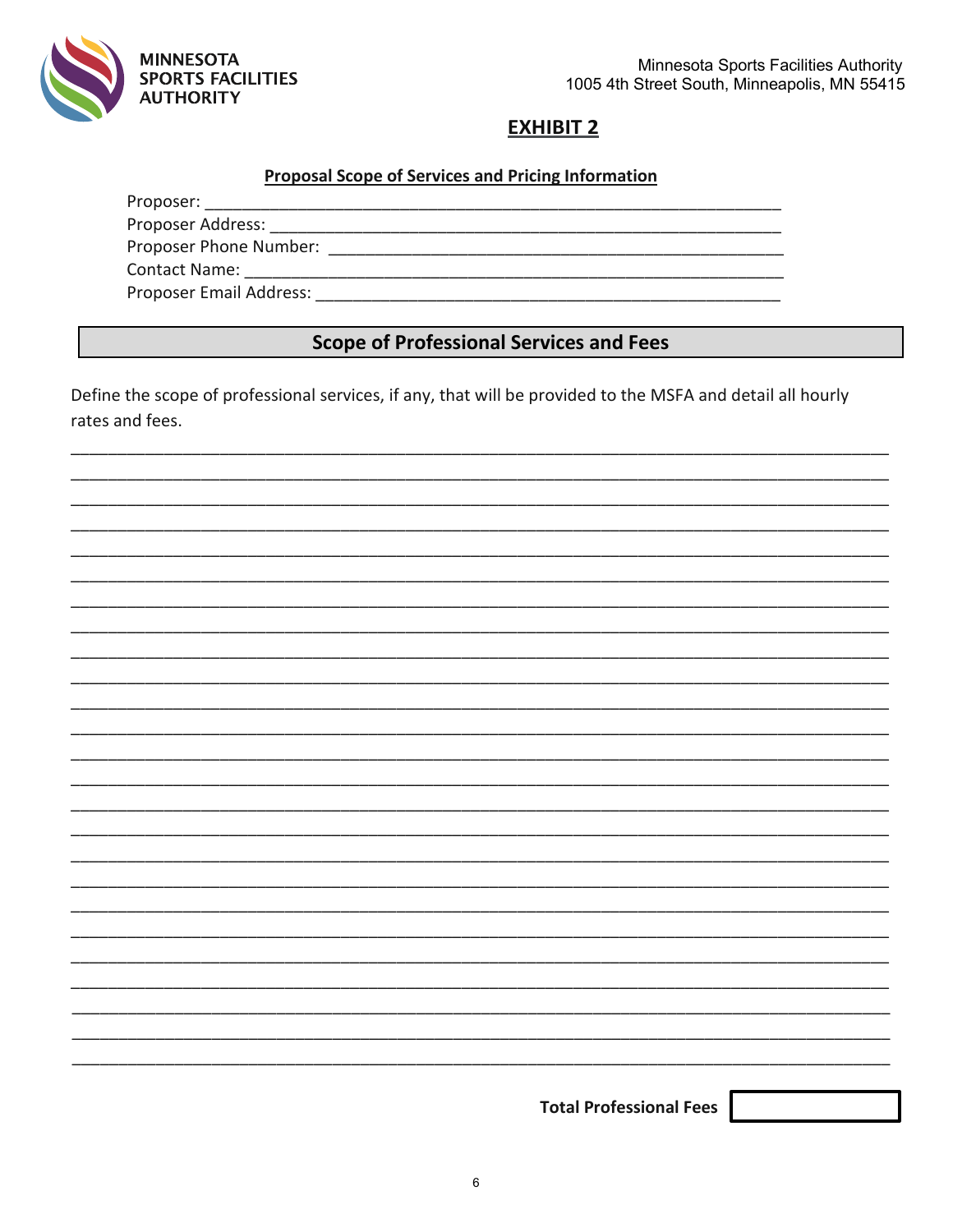

Minnesota Sports Facilities Authority 1005 4th Street South, Minneapolis, MN 55415

# **EXHIBIT 2**

# **Proposal Scope of Services and Pricing Information**

Proposer Email Address: North and Security and Security and Security and Security and Security and Security and Security and Security and Security and Security and Security and Security and Security and Security and Securi

# **Scope of Professional Services and Fees**

Define the scope of professional services, if any, that will be provided to the MSFA and detail all hourly rates and fees.

|  | <b>Total Professional Fees</b> |  |
|--|--------------------------------|--|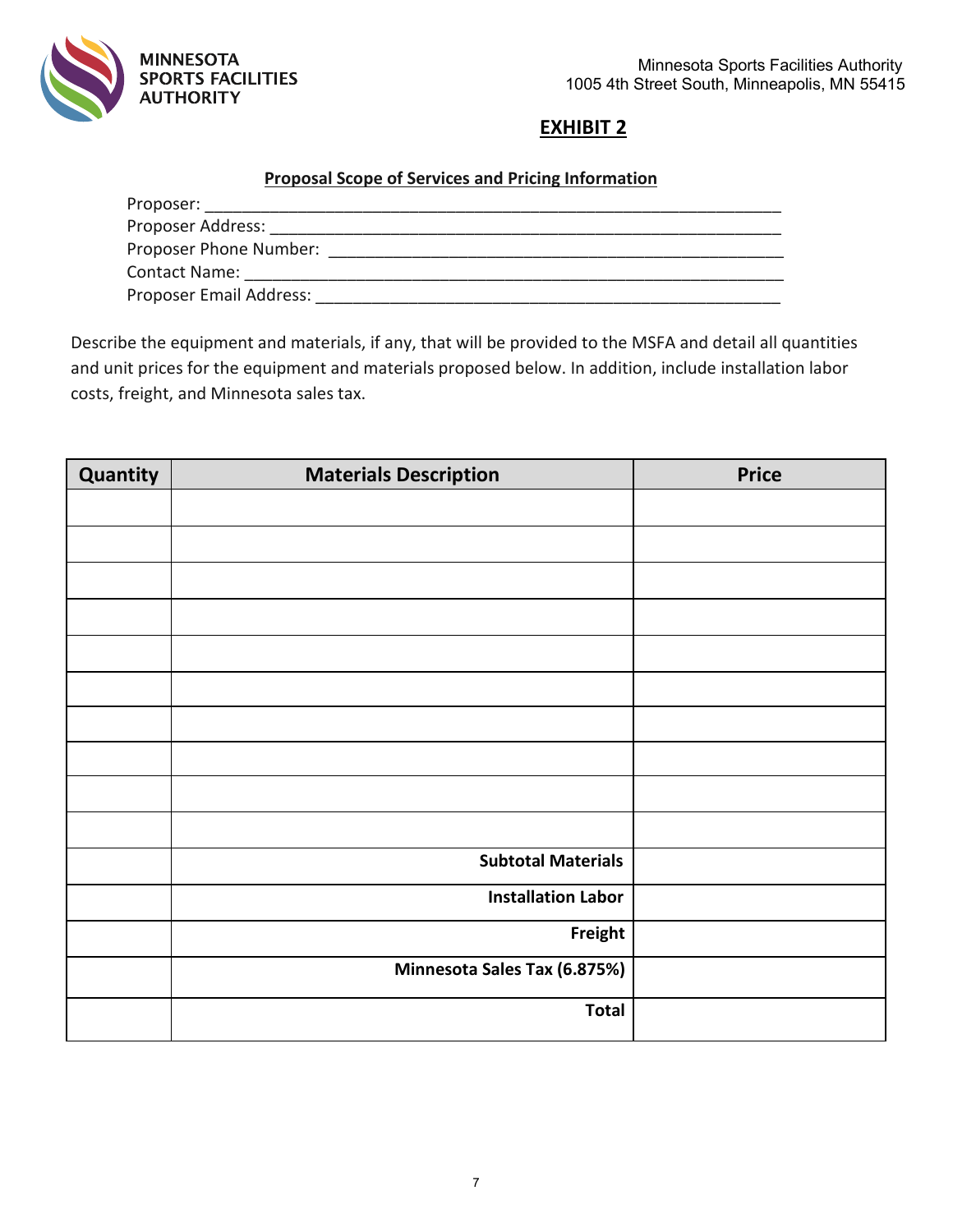

# **Proposal Scope of Services and Pricing Information**

| Proposer:               |  |
|-------------------------|--|
| Proposer Address:       |  |
| Proposer Phone Number:  |  |
| <b>Contact Name:</b>    |  |
| Proposer Email Address: |  |

Describe the equipment and materials, if any, that will be provided to the MSFA and detail all quantities and unit prices for the equipment and materials proposed below. In addition, include installation labor costs, freight, and Minnesota sales tax.

| Quantity | <b>Materials Description</b> | <b>Price</b> |
|----------|------------------------------|--------------|
|          |                              |              |
|          |                              |              |
|          |                              |              |
|          |                              |              |
|          |                              |              |
|          |                              |              |
|          |                              |              |
|          |                              |              |
|          |                              |              |
|          |                              |              |
|          | <b>Subtotal Materials</b>    |              |
|          | <b>Installation Labor</b>    |              |
|          | Freight                      |              |
|          | Minnesota Sales Tax (6.875%) |              |
|          | <b>Total</b>                 |              |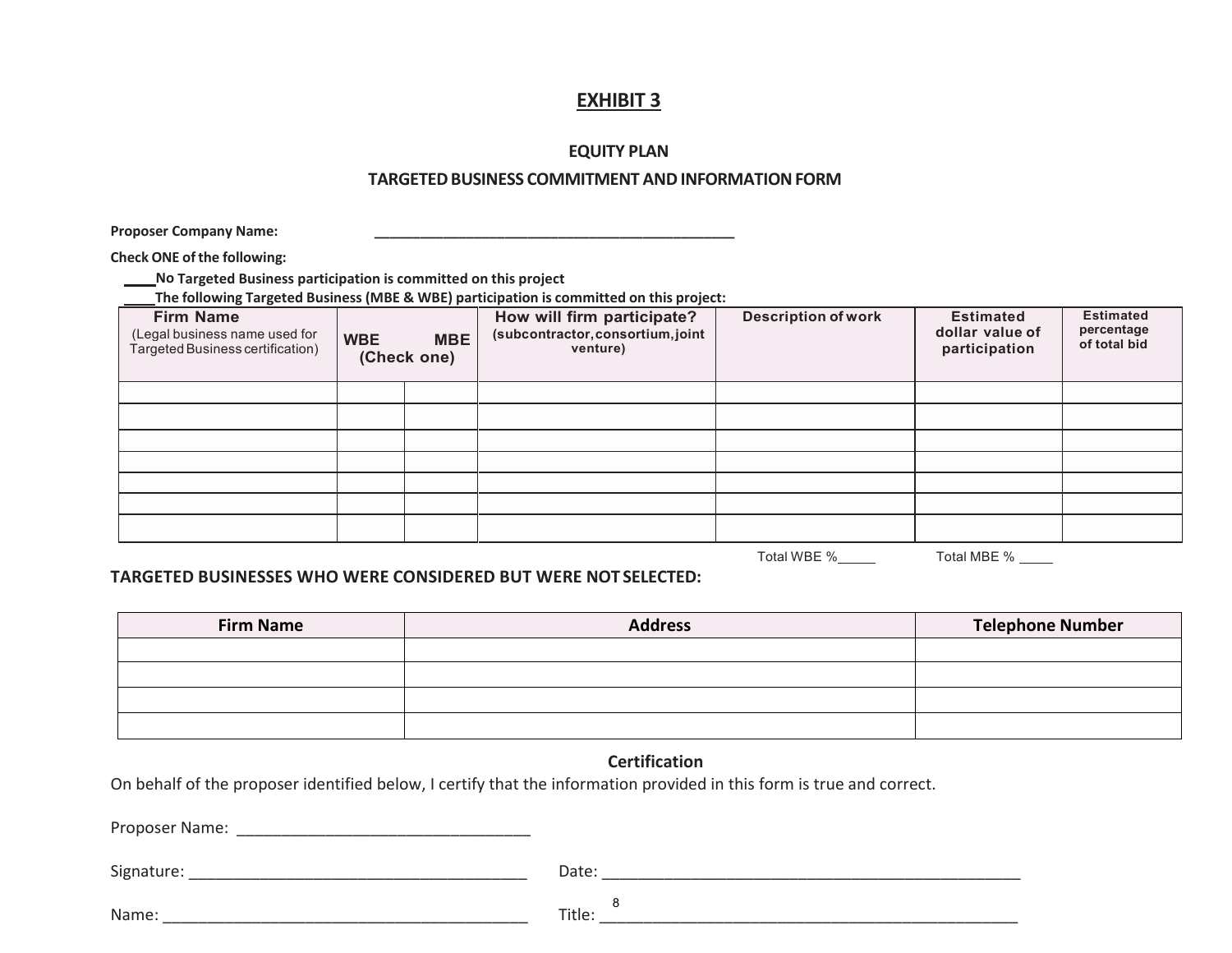#### **EQUITY PLAN**

#### **TARGETEDBUSINESS COMMITMENT ANDINFORMATIONFORM**

**Proposer Company Name: \_\_\_\_\_\_\_\_\_\_\_\_\_\_\_\_\_\_\_\_\_\_\_\_\_\_\_\_\_\_\_\_\_\_\_\_\_\_\_\_\_\_\_\_\_\_\_**

**Check ONE ofthe following:**

**No Targeted Business participation is committed on this project**  $\overline{a}$ 

**The following Targeted Business (MBE & WBE) participation is committed on this project:**

| <b>Firm Name</b><br>(Legal business name used for<br>Targeted Business certification) | <b>WBE</b> | <b>MBE</b><br>(Check one) | How will firm participate?<br>(subcontractor, consortium, joint<br>venture) | <b>Description of work</b> | <b>Estimated</b><br>dollar value of<br>participation | <b>Estimated</b><br>percentage<br>of total bid |
|---------------------------------------------------------------------------------------|------------|---------------------------|-----------------------------------------------------------------------------|----------------------------|------------------------------------------------------|------------------------------------------------|
|                                                                                       |            |                           |                                                                             |                            |                                                      |                                                |
|                                                                                       |            |                           |                                                                             |                            |                                                      |                                                |
|                                                                                       |            |                           |                                                                             |                            |                                                      |                                                |
|                                                                                       |            |                           |                                                                             |                            |                                                      |                                                |
|                                                                                       |            |                           |                                                                             |                            |                                                      |                                                |
|                                                                                       |            |                           |                                                                             |                            |                                                      |                                                |
|                                                                                       |            |                           |                                                                             |                            |                                                      |                                                |

Total WBE % Total MBE %

#### **TARGETED BUSINESSES WHO WERE CONSIDERED BUT WERE NOT SELECTED:**

| <b>Firm Name</b> | <b>Address</b> | <b>Telephone Number</b> |
|------------------|----------------|-------------------------|
|                  |                |                         |
|                  |                |                         |
|                  |                |                         |
|                  |                |                         |

#### **Certification**

On behalf of the proposer identified below, I certify that the information provided in this form is true and correct.

Proposer Name: \_\_\_\_\_\_\_\_\_\_\_\_\_\_\_\_\_\_\_\_\_\_\_\_\_\_\_\_\_\_\_\_\_

Signature: \_\_\_\_\_\_\_\_\_\_\_\_\_\_\_\_\_\_\_\_\_\_\_\_\_\_\_\_\_\_\_\_\_\_\_\_\_\_ Date: \_\_\_\_\_\_\_\_\_\_\_\_\_\_\_\_\_\_\_\_\_\_\_\_\_\_\_\_\_\_\_\_\_\_\_\_\_\_\_\_\_\_\_\_\_\_\_

Name: \_\_\_\_\_\_\_\_\_\_\_\_\_\_\_\_\_\_\_\_\_\_\_\_\_\_\_\_\_\_\_\_\_\_\_\_\_\_\_\_\_ Title: \_\_\_\_\_\_\_\_\_\_\_\_\_\_\_\_\_\_\_\_\_\_\_\_\_\_\_\_\_\_\_\_\_\_\_\_\_\_\_\_\_\_\_\_\_\_\_ 8